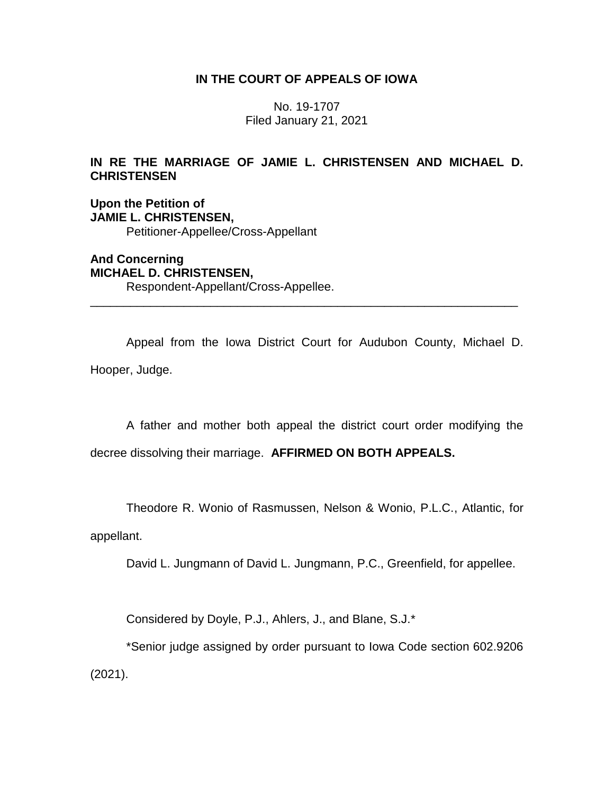# **IN THE COURT OF APPEALS OF IOWA**

No. 19-1707 Filed January 21, 2021

# **IN RE THE MARRIAGE OF JAMIE L. CHRISTENSEN AND MICHAEL D. CHRISTENSEN**

**Upon the Petition of JAMIE L. CHRISTENSEN,** Petitioner-Appellee/Cross-Appellant

**And Concerning MICHAEL D. CHRISTENSEN,** Respondent-Appellant/Cross-Appellee.

Appeal from the Iowa District Court for Audubon County, Michael D. Hooper, Judge.

\_\_\_\_\_\_\_\_\_\_\_\_\_\_\_\_\_\_\_\_\_\_\_\_\_\_\_\_\_\_\_\_\_\_\_\_\_\_\_\_\_\_\_\_\_\_\_\_\_\_\_\_\_\_\_\_\_\_\_\_\_\_\_\_

A father and mother both appeal the district court order modifying the

decree dissolving their marriage. **AFFIRMED ON BOTH APPEALS.**

Theodore R. Wonio of Rasmussen, Nelson & Wonio, P.L.C., Atlantic, for

appellant.

David L. Jungmann of David L. Jungmann, P.C., Greenfield, for appellee.

Considered by Doyle, P.J., Ahlers, J., and Blane, S.J.\*

\*Senior judge assigned by order pursuant to Iowa Code section 602.9206 (2021).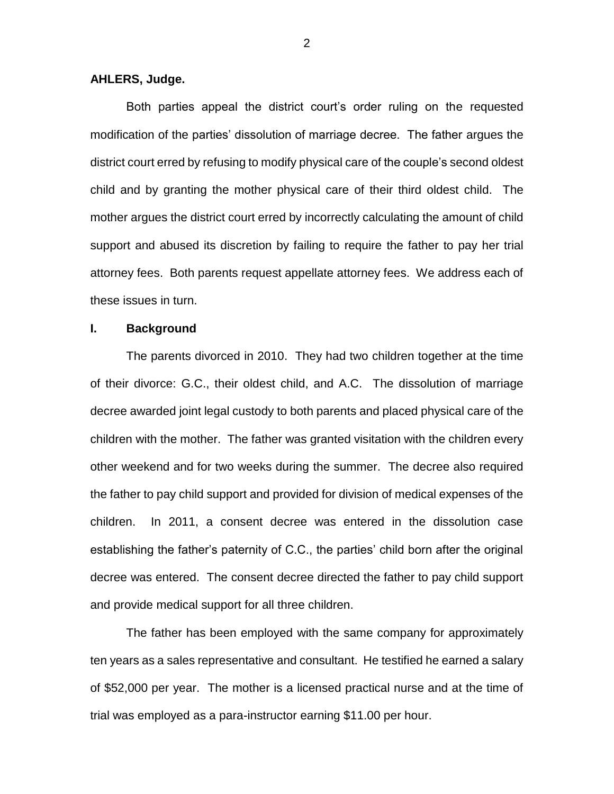# **AHLERS, Judge.**

Both parties appeal the district court's order ruling on the requested modification of the parties' dissolution of marriage decree. The father argues the district court erred by refusing to modify physical care of the couple's second oldest child and by granting the mother physical care of their third oldest child. The mother argues the district court erred by incorrectly calculating the amount of child support and abused its discretion by failing to require the father to pay her trial attorney fees. Both parents request appellate attorney fees. We address each of these issues in turn.

# **I. Background**

The parents divorced in 2010. They had two children together at the time of their divorce: G.C., their oldest child, and A.C. The dissolution of marriage decree awarded joint legal custody to both parents and placed physical care of the children with the mother. The father was granted visitation with the children every other weekend and for two weeks during the summer. The decree also required the father to pay child support and provided for division of medical expenses of the children. In 2011, a consent decree was entered in the dissolution case establishing the father's paternity of C.C., the parties' child born after the original decree was entered. The consent decree directed the father to pay child support and provide medical support for all three children.

The father has been employed with the same company for approximately ten years as a sales representative and consultant. He testified he earned a salary of \$52,000 per year. The mother is a licensed practical nurse and at the time of trial was employed as a para-instructor earning \$11.00 per hour.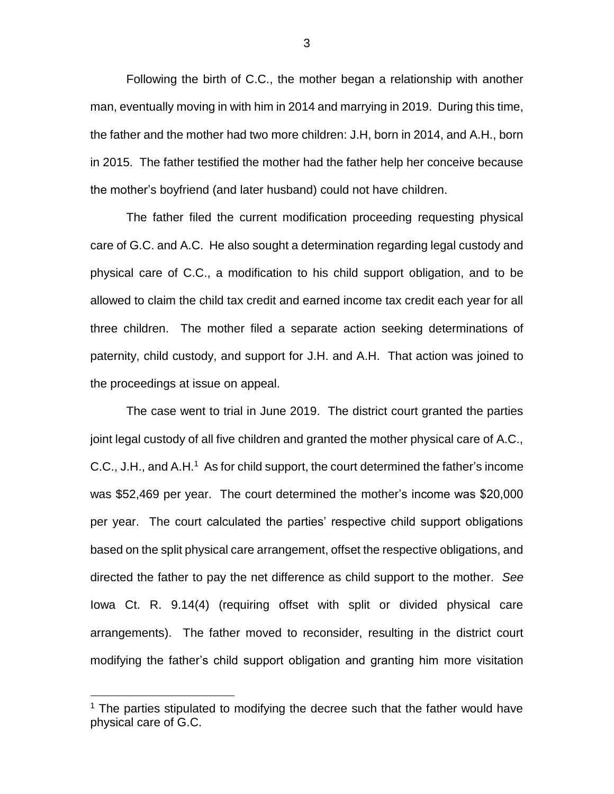Following the birth of C.C., the mother began a relationship with another man, eventually moving in with him in 2014 and marrying in 2019. During this time, the father and the mother had two more children: J.H, born in 2014, and A.H., born in 2015. The father testified the mother had the father help her conceive because the mother's boyfriend (and later husband) could not have children.

The father filed the current modification proceeding requesting physical care of G.C. and A.C. He also sought a determination regarding legal custody and physical care of C.C., a modification to his child support obligation, and to be allowed to claim the child tax credit and earned income tax credit each year for all three children. The mother filed a separate action seeking determinations of paternity, child custody, and support for J.H. and A.H. That action was joined to the proceedings at issue on appeal.

The case went to trial in June 2019. The district court granted the parties joint legal custody of all five children and granted the mother physical care of A.C., C.C., J.H., and  $A.H<sup>1</sup>$  As for child support, the court determined the father's income was \$52,469 per year. The court determined the mother's income was \$20,000 per year. The court calculated the parties' respective child support obligations based on the split physical care arrangement, offset the respective obligations, and directed the father to pay the net difference as child support to the mother. *See* Iowa Ct. R. 9.14(4) (requiring offset with split or divided physical care arrangements). The father moved to reconsider, resulting in the district court modifying the father's child support obligation and granting him more visitation

 $\overline{a}$ 

3

 $1$  The parties stipulated to modifying the decree such that the father would have physical care of G.C.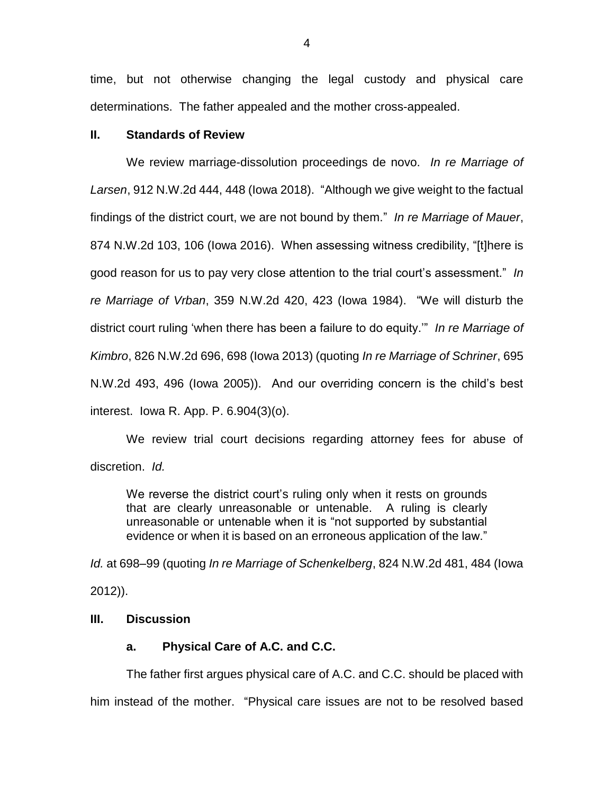time, but not otherwise changing the legal custody and physical care determinations. The father appealed and the mother cross-appealed.

# **II. Standards of Review**

We review marriage-dissolution proceedings de novo. *In re Marriage of Larsen*, 912 N.W.2d 444, 448 (Iowa 2018). "Although we give weight to the factual findings of the district court, we are not bound by them." *In re Marriage of Mauer*, 874 N.W.2d 103, 106 (Iowa 2016). When assessing witness credibility, "[t]here is good reason for us to pay very close attention to the trial court's assessment." *In re Marriage of Vrban*, 359 N.W.2d 420, 423 (Iowa 1984). "We will disturb the district court ruling 'when there has been a failure to do equity.'" *In re Marriage of Kimbro*, 826 N.W.2d 696, 698 (Iowa 2013) (quoting *In re Marriage of Schriner*, 695 N.W.2d 493, 496 (Iowa 2005)). And our overriding concern is the child's best interest. Iowa R. App. P. 6.904(3)(o).

We review trial court decisions regarding attorney fees for abuse of discretion. *Id.*

We reverse the district court's ruling only when it rests on grounds that are clearly unreasonable or untenable. A ruling is clearly unreasonable or untenable when it is "not supported by substantial evidence or when it is based on an erroneous application of the law."

*Id.* at 698–99 (quoting *In re Marriage of Schenkelberg*, 824 N.W.2d 481, 484 (Iowa 2012)).

# **III. Discussion**

# **a. Physical Care of A.C. and C.C.**

The father first argues physical care of A.C. and C.C. should be placed with him instead of the mother. "Physical care issues are not to be resolved based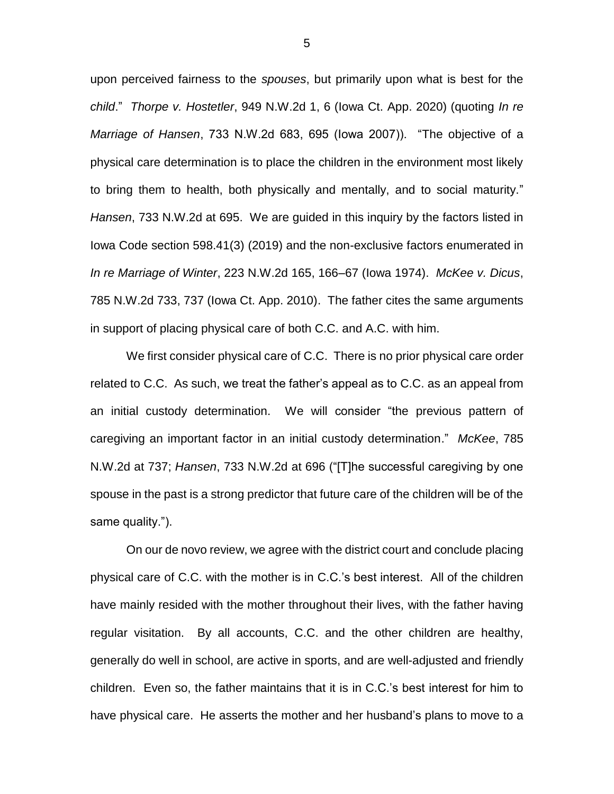upon perceived fairness to the *spouses*, but primarily upon what is best for the *child*." *Thorpe v. Hostetler*, 949 N.W.2d 1, 6 (Iowa Ct. App. 2020) (quoting *In re Marriage of Hansen*, 733 N.W.2d 683, 695 (Iowa 2007)). "The objective of a physical care determination is to place the children in the environment most likely to bring them to health, both physically and mentally, and to social maturity." *Hansen*, 733 N.W.2d at 695. We are guided in this inquiry by the factors listed in Iowa Code section 598.41(3) (2019) and the non-exclusive factors enumerated in *In re Marriage of Winter*, 223 N.W.2d 165, 166–67 (Iowa 1974). *McKee v. Dicus*, 785 N.W.2d 733, 737 (Iowa Ct. App. 2010). The father cites the same arguments in support of placing physical care of both C.C. and A.C. with him.

We first consider physical care of C.C. There is no prior physical care order related to C.C. As such, we treat the father's appeal as to C.C. as an appeal from an initial custody determination. We will consider "the previous pattern of caregiving an important factor in an initial custody determination." *McKee*, 785 N.W.2d at 737; *Hansen*, 733 N.W.2d at 696 ("[T]he successful caregiving by one spouse in the past is a strong predictor that future care of the children will be of the same quality.").

On our de novo review, we agree with the district court and conclude placing physical care of C.C. with the mother is in C.C.'s best interest. All of the children have mainly resided with the mother throughout their lives, with the father having regular visitation. By all accounts, C.C. and the other children are healthy, generally do well in school, are active in sports, and are well-adjusted and friendly children. Even so, the father maintains that it is in C.C.'s best interest for him to have physical care. He asserts the mother and her husband's plans to move to a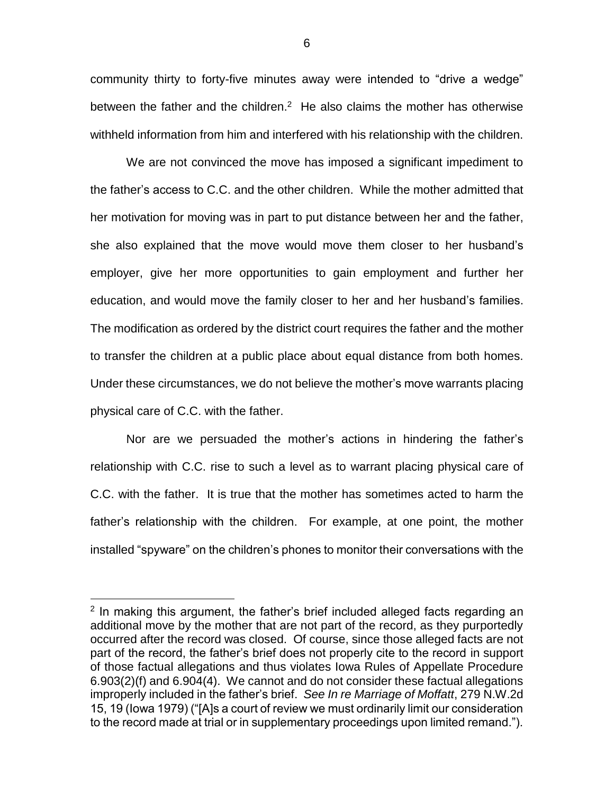community thirty to forty-five minutes away were intended to "drive a wedge" between the father and the children. $2$  He also claims the mother has otherwise withheld information from him and interfered with his relationship with the children.

We are not convinced the move has imposed a significant impediment to the father's access to C.C. and the other children. While the mother admitted that her motivation for moving was in part to put distance between her and the father, she also explained that the move would move them closer to her husband's employer, give her more opportunities to gain employment and further her education, and would move the family closer to her and her husband's families. The modification as ordered by the district court requires the father and the mother to transfer the children at a public place about equal distance from both homes. Under these circumstances, we do not believe the mother's move warrants placing physical care of C.C. with the father.

Nor are we persuaded the mother's actions in hindering the father's relationship with C.C. rise to such a level as to warrant placing physical care of C.C. with the father. It is true that the mother has sometimes acted to harm the father's relationship with the children. For example, at one point, the mother installed "spyware" on the children's phones to monitor their conversations with the

 $\overline{a}$ 

<sup>&</sup>lt;sup>2</sup> In making this argument, the father's brief included alleged facts regarding an additional move by the mother that are not part of the record, as they purportedly occurred after the record was closed. Of course, since those alleged facts are not part of the record, the father's brief does not properly cite to the record in support of those factual allegations and thus violates Iowa Rules of Appellate Procedure 6.903(2)(f) and 6.904(4). We cannot and do not consider these factual allegations improperly included in the father's brief. *See In re Marriage of Moffatt*, 279 N.W.2d 15, 19 (Iowa 1979) ("[A]s a court of review we must ordinarily limit our consideration to the record made at trial or in supplementary proceedings upon limited remand.").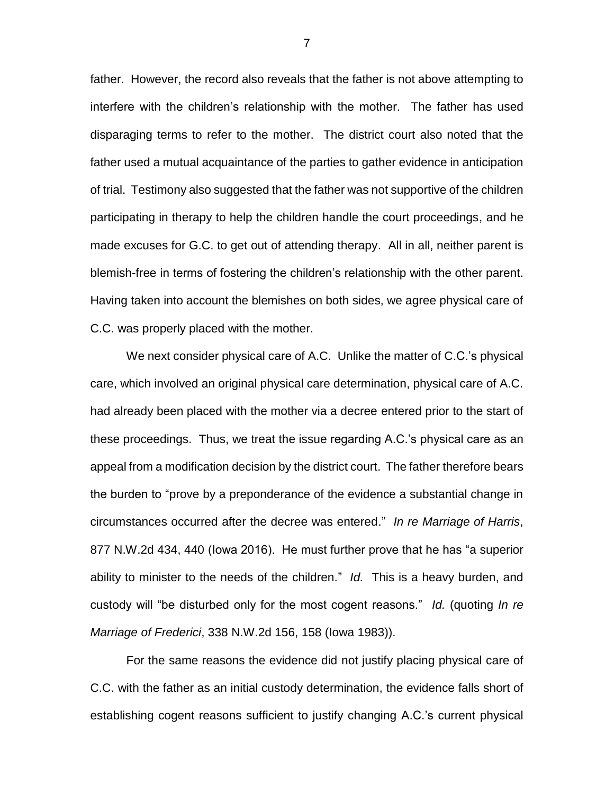father. However, the record also reveals that the father is not above attempting to interfere with the children's relationship with the mother. The father has used disparaging terms to refer to the mother. The district court also noted that the father used a mutual acquaintance of the parties to gather evidence in anticipation of trial. Testimony also suggested that the father was not supportive of the children participating in therapy to help the children handle the court proceedings, and he made excuses for G.C. to get out of attending therapy. All in all, neither parent is blemish-free in terms of fostering the children's relationship with the other parent. Having taken into account the blemishes on both sides, we agree physical care of C.C. was properly placed with the mother.

We next consider physical care of A.C. Unlike the matter of C.C.'s physical care, which involved an original physical care determination, physical care of A.C. had already been placed with the mother via a decree entered prior to the start of these proceedings. Thus, we treat the issue regarding A.C.'s physical care as an appeal from a modification decision by the district court. The father therefore bears the burden to "prove by a preponderance of the evidence a substantial change in circumstances occurred after the decree was entered." *In re Marriage of Harris*, 877 N.W.2d 434, 440 (Iowa 2016). He must further prove that he has "a superior ability to minister to the needs of the children." *Id.* This is a heavy burden, and custody will "be disturbed only for the most cogent reasons." *Id.* (quoting *In re Marriage of Frederici*, 338 N.W.2d 156, 158 (Iowa 1983)).

For the same reasons the evidence did not justify placing physical care of C.C. with the father as an initial custody determination, the evidence falls short of establishing cogent reasons sufficient to justify changing A.C.'s current physical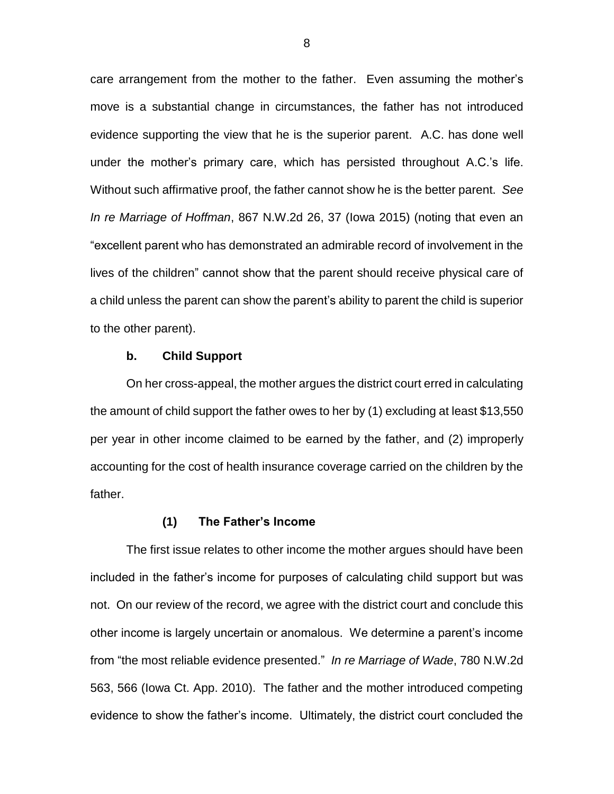care arrangement from the mother to the father. Even assuming the mother's move is a substantial change in circumstances, the father has not introduced evidence supporting the view that he is the superior parent. A.C. has done well under the mother's primary care, which has persisted throughout A.C.'s life. Without such affirmative proof, the father cannot show he is the better parent. *See In re Marriage of Hoffman*, 867 N.W.2d 26, 37 (Iowa 2015) (noting that even an "excellent parent who has demonstrated an admirable record of involvement in the lives of the children" cannot show that the parent should receive physical care of a child unless the parent can show the parent's ability to parent the child is superior to the other parent).

#### **b. Child Support**

On her cross-appeal, the mother argues the district court erred in calculating the amount of child support the father owes to her by (1) excluding at least \$13,550 per year in other income claimed to be earned by the father, and (2) improperly accounting for the cost of health insurance coverage carried on the children by the father.

## **(1) The Father's Income**

The first issue relates to other income the mother argues should have been included in the father's income for purposes of calculating child support but was not. On our review of the record, we agree with the district court and conclude this other income is largely uncertain or anomalous. We determine a parent's income from "the most reliable evidence presented." *In re Marriage of Wade*, 780 N.W.2d 563, 566 (Iowa Ct. App. 2010). The father and the mother introduced competing evidence to show the father's income. Ultimately, the district court concluded the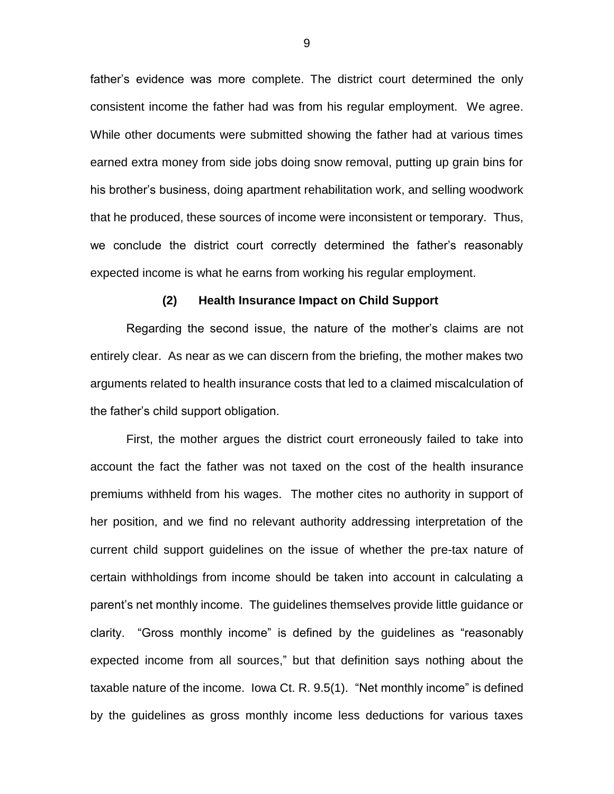father's evidence was more complete. The district court determined the only consistent income the father had was from his regular employment. We agree. While other documents were submitted showing the father had at various times earned extra money from side jobs doing snow removal, putting up grain bins for his brother's business, doing apartment rehabilitation work, and selling woodwork that he produced, these sources of income were inconsistent or temporary. Thus, we conclude the district court correctly determined the father's reasonably expected income is what he earns from working his regular employment.

#### **(2) Health Insurance Impact on Child Support**

Regarding the second issue, the nature of the mother's claims are not entirely clear. As near as we can discern from the briefing, the mother makes two arguments related to health insurance costs that led to a claimed miscalculation of the father's child support obligation.

First, the mother argues the district court erroneously failed to take into account the fact the father was not taxed on the cost of the health insurance premiums withheld from his wages. The mother cites no authority in support of her position, and we find no relevant authority addressing interpretation of the current child support guidelines on the issue of whether the pre-tax nature of certain withholdings from income should be taken into account in calculating a parent's net monthly income. The guidelines themselves provide little guidance or clarity. "Gross monthly income" is defined by the guidelines as "reasonably expected income from all sources," but that definition says nothing about the taxable nature of the income. Iowa Ct. R. 9.5(1). "Net monthly income" is defined by the guidelines as gross monthly income less deductions for various taxes

9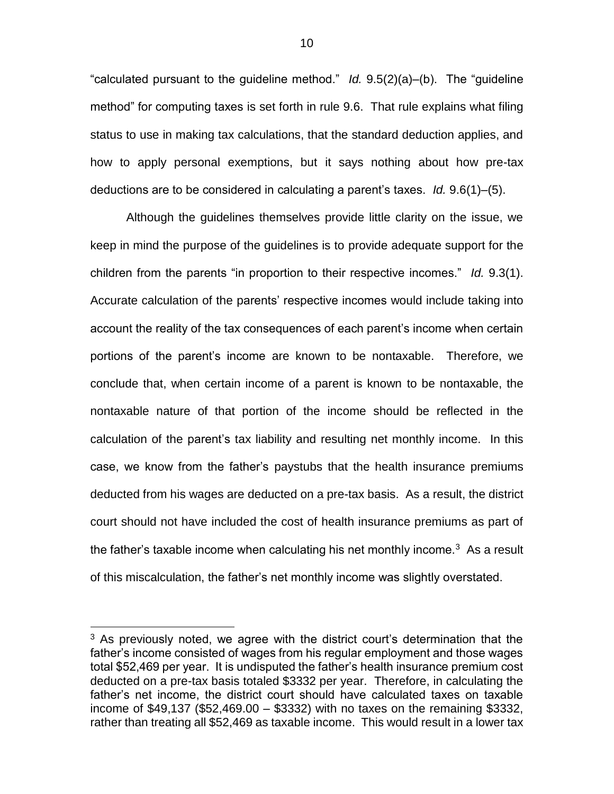"calculated pursuant to the guideline method." *Id.* 9.5(2)(a)–(b). The "guideline method" for computing taxes is set forth in rule 9.6. That rule explains what filing status to use in making tax calculations, that the standard deduction applies, and how to apply personal exemptions, but it says nothing about how pre-tax deductions are to be considered in calculating a parent's taxes. *Id.* 9.6(1)–(5).

Although the guidelines themselves provide little clarity on the issue, we keep in mind the purpose of the guidelines is to provide adequate support for the children from the parents "in proportion to their respective incomes." *Id.* 9.3(1). Accurate calculation of the parents' respective incomes would include taking into account the reality of the tax consequences of each parent's income when certain portions of the parent's income are known to be nontaxable. Therefore, we conclude that, when certain income of a parent is known to be nontaxable, the nontaxable nature of that portion of the income should be reflected in the calculation of the parent's tax liability and resulting net monthly income. In this case, we know from the father's paystubs that the health insurance premiums deducted from his wages are deducted on a pre-tax basis. As a result, the district court should not have included the cost of health insurance premiums as part of the father's taxable income when calculating his net monthly income. $3$  As a result of this miscalculation, the father's net monthly income was slightly overstated.

 $\overline{a}$ 

 $3$  As previously noted, we agree with the district court's determination that the father's income consisted of wages from his regular employment and those wages total \$52,469 per year. It is undisputed the father's health insurance premium cost deducted on a pre-tax basis totaled \$3332 per year. Therefore, in calculating the father's net income, the district court should have calculated taxes on taxable income of \$49,137 (\$52,469.00 – \$3332) with no taxes on the remaining \$3332, rather than treating all \$52,469 as taxable income. This would result in a lower tax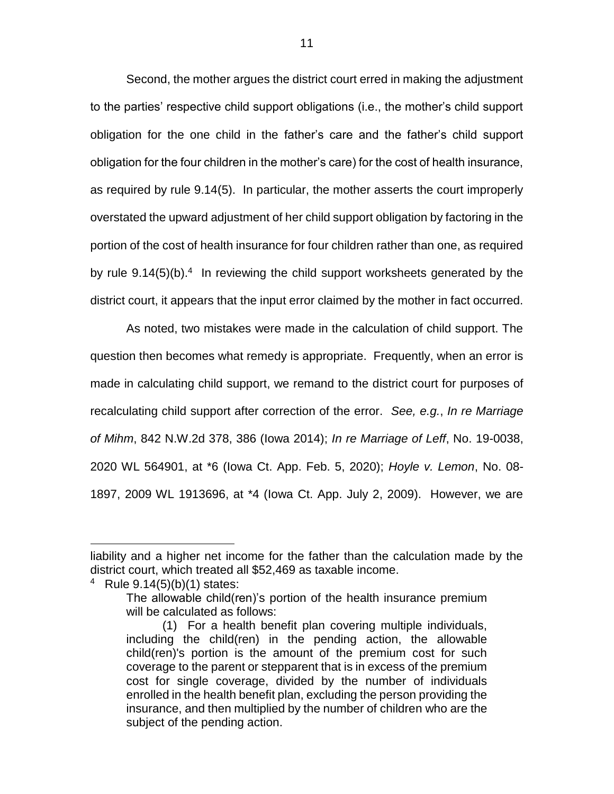Second, the mother argues the district court erred in making the adjustment to the parties' respective child support obligations (i.e., the mother's child support obligation for the one child in the father's care and the father's child support obligation for the four children in the mother's care) for the cost of health insurance, as required by rule 9.14(5). In particular, the mother asserts the court improperly overstated the upward adjustment of her child support obligation by factoring in the portion of the cost of health insurance for four children rather than one, as required by rule  $9.14(5)(b)^4$  In reviewing the child support worksheets generated by the district court, it appears that the input error claimed by the mother in fact occurred.

As noted, two mistakes were made in the calculation of child support. The question then becomes what remedy is appropriate. Frequently, when an error is made in calculating child support, we remand to the district court for purposes of recalculating child support after correction of the error. *See, e.g.*, *In re Marriage of Mihm*, 842 N.W.2d 378, 386 (Iowa 2014); *In re Marriage of Leff*, No. 19-0038, 2020 WL 564901, at \*6 (Iowa Ct. App. Feb. 5, 2020); *Hoyle v. Lemon*, No. 08- 1897, 2009 WL 1913696, at \*4 (Iowa Ct. App. July 2, 2009). However, we are

4 Rule 9.14(5)(b)(1) states:

 $\overline{a}$ 

liability and a higher net income for the father than the calculation made by the district court, which treated all \$52,469 as taxable income.

The allowable child(ren)'s portion of the health insurance premium will be calculated as follows:

<sup>(1)</sup> For a health benefit plan covering multiple individuals, including the child(ren) in the pending action, the allowable child(ren)'s portion is the amount of the premium cost for such coverage to the parent or stepparent that is in excess of the premium cost for single coverage, divided by the number of individuals enrolled in the health benefit plan, excluding the person providing the insurance, and then multiplied by the number of children who are the subject of the pending action.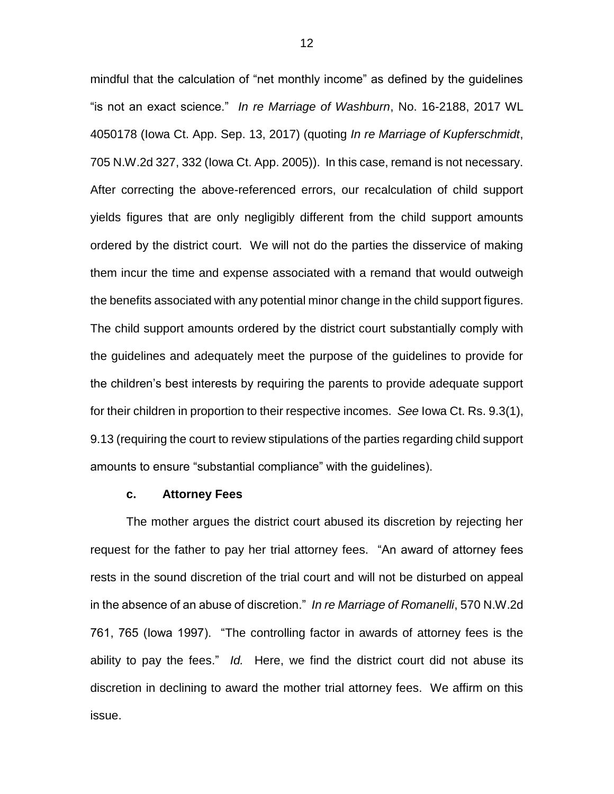mindful that the calculation of "net monthly income" as defined by the guidelines "is not an exact science." *In re Marriage of Washburn*, No. 16-2188, 2017 WL 4050178 (Iowa Ct. App. Sep. 13, 2017) (quoting *In re Marriage of Kupferschmidt*, 705 N.W.2d 327, 332 (Iowa Ct. App. 2005)). In this case, remand is not necessary. After correcting the above-referenced errors, our recalculation of child support yields figures that are only negligibly different from the child support amounts ordered by the district court. We will not do the parties the disservice of making them incur the time and expense associated with a remand that would outweigh the benefits associated with any potential minor change in the child support figures. The child support amounts ordered by the district court substantially comply with the guidelines and adequately meet the purpose of the guidelines to provide for the children's best interests by requiring the parents to provide adequate support for their children in proportion to their respective incomes. *See* Iowa Ct. Rs. 9.3(1), 9.13 (requiring the court to review stipulations of the parties regarding child support amounts to ensure "substantial compliance" with the guidelines).

## **c. Attorney Fees**

The mother argues the district court abused its discretion by rejecting her request for the father to pay her trial attorney fees. "An award of attorney fees rests in the sound discretion of the trial court and will not be disturbed on appeal in the absence of an abuse of discretion." *In re Marriage of Romanelli*, 570 N.W.2d 761, 765 (Iowa 1997). "The controlling factor in awards of attorney fees is the ability to pay the fees." *Id.* Here, we find the district court did not abuse its discretion in declining to award the mother trial attorney fees. We affirm on this issue.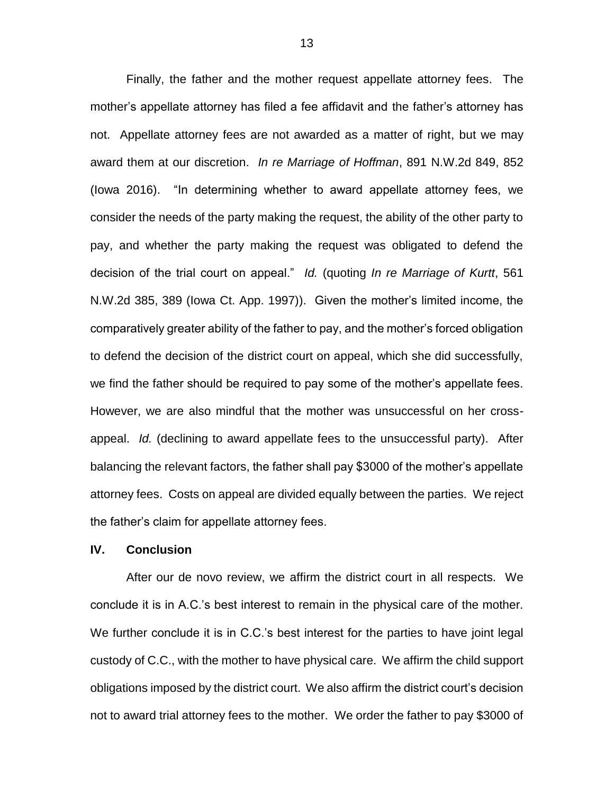Finally, the father and the mother request appellate attorney fees. The mother's appellate attorney has filed a fee affidavit and the father's attorney has not. Appellate attorney fees are not awarded as a matter of right, but we may award them at our discretion. *In re Marriage of Hoffman*, 891 N.W.2d 849, 852 (Iowa 2016). "In determining whether to award appellate attorney fees, we consider the needs of the party making the request, the ability of the other party to pay, and whether the party making the request was obligated to defend the decision of the trial court on appeal." *Id.* (quoting *In re Marriage of Kurtt*, 561 N.W.2d 385, 389 (Iowa Ct. App. 1997)). Given the mother's limited income, the comparatively greater ability of the father to pay, and the mother's forced obligation to defend the decision of the district court on appeal, which she did successfully, we find the father should be required to pay some of the mother's appellate fees. However, we are also mindful that the mother was unsuccessful on her crossappeal. *Id.* (declining to award appellate fees to the unsuccessful party). After balancing the relevant factors, the father shall pay \$3000 of the mother's appellate attorney fees. Costs on appeal are divided equally between the parties. We reject the father's claim for appellate attorney fees.

# **IV. Conclusion**

After our de novo review, we affirm the district court in all respects. We conclude it is in A.C.'s best interest to remain in the physical care of the mother. We further conclude it is in C.C.'s best interest for the parties to have joint legal custody of C.C., with the mother to have physical care. We affirm the child support obligations imposed by the district court. We also affirm the district court's decision not to award trial attorney fees to the mother. We order the father to pay \$3000 of